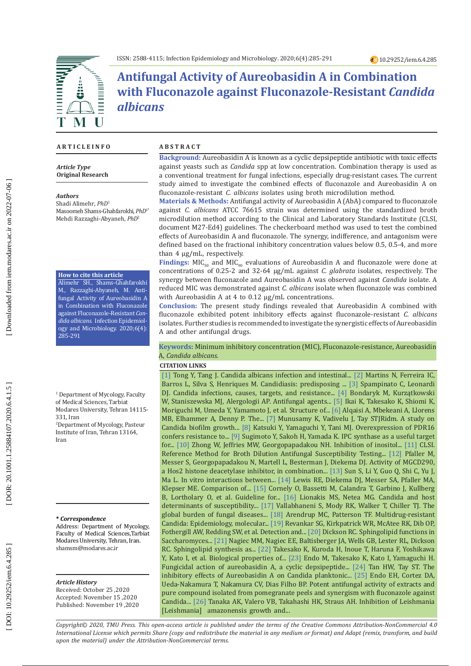

# **Antifungal Activity of Aureobasidin A in Combination with Fluconazole against Fluconazole-Resistant** *Candida albicans*

#### **A R T I C L E I N F O**

*Article Type* **Original Research**

#### *Authors*

Shadi Alimehr, *PhD* 1 Masoomeh Shams-Ghahfarokhi, *PhD*1\* Mehdi Razzaghi-Abyaneh, *PhD* 2

#### **How to cite this article**

Alimehr SH., Shams-Ghahfarokhi M., Razzaghi-Abyaneh, M. Anti fungal Activity of Aureobasidin A in Combination with Fluconazole against Fluconazole-Resistant *Can dida albicans*. Infection Epidemiol ogy and Microbiology. 2020;6(4): 285-291

1 Department of Mycology, Faculty of Medical Sciences, Tarbiat Modares University, Tehran 14115-

331, Iran<br><sup>2</sup>Department of Mycology, Pasteur Institute of Iran, Tehran 13164, Iran

#### **\*** *Correspondence*

Address: Department of Mycology, Faculty of Medical Sciences,Tarbiat Modares University, Tehran, Iran. [shamsm@modares.ac.ir](mailto:shamsm@modares.ac.ir)

#### *Article History*

Received: October 25 ,2020 Accepted: November 15 ,2020 Published: November 19 ,2020

#### **A B S T R A C T**

**Background:** Aureobasidin A is known as a cyclic depsipeptide antibiotic with toxic effects against yeasts such as *Candida* spp at low concentration. Combination therapy is used as a conventional treatment for fungal infections, especially drug-resistant cases. The current study aimed to investigate the combined effects of fluconazole and Aureobasidin A on fluconazole-resistant *C. albicans* isolates using broth microdilution method.

**Materials & Methods:** Antifungal activity of Aureobasidin A (AbA) compared to fluconazole against *C. albicans* ATCC 76615 strain was determined using the standardized broth microdilution method according to the Clinical and Laboratory Standards Institute (CLSI, document M27-Ed4) guidelines. The checkerboard method was used to test the combined effects of Aureobasidin A and fluconazole. The synergy, indifference, and antagonism were defined based on the fractional inhibitory concentration values below 0.5, 0.5-4, and more than 4 μg/mL, respectively.

**Findings:**  $MIC<sub>50</sub>$  and  $MIC<sub>90</sub>$  evaluations of Aureobasidin A and fluconazole were done at concentrations of 0.25-2 and 32-64 μg/mL against *C. glabrata* isolates, respectively. The synergy between fluconazole and Aureobasidin A was observed against *Candida* isolate. A reduced MIC was demonstrated against *C. albicans* isolate when fluconazole was combined with Aureobasidin A at 4 to 0.12 μg/mL concentrations.

**Conclusion:** The present study findings revealed that Aureobasidin A combined with fluconazole exhibited potent inhibitory effects against fluconazole-resistant *C. albicans* isolates. Further studies is recommended to investigate the synergistic effects of Aureobasidin A and other antifungal drugs.

#### **Keywords:** Minimum inhibitory concentration (MIC), Fluconazole-resistance, Aureobasidin A, *Candida albicans*.

#### **CITATION LINKS**

Barros L, Silva S, Henriques M. Candidiasis: predisposing ... [\[3\]](https://www.hindawi.com/journals/bmri/2013/204237/abs/) Spampinato C, Leonardi [\[1\]](https://www.google.com/url?sa=t&rct=j&q=&esrc=s&source=web&cd=&cad=rja&uact=8&ved=2ahUKEwiCn4Xw4v3tAhXcRhUIHRFIDP8QFjABegQIAhAC&url=https%3A%2F%2Fpubmed.ncbi.nlm.nih.gov%2F28285659%2F&usg=AOvVaw1udiwjE2lAAdsuQsnEGHWQ) Tong Y, Tang J. Candida albicans infection and intestinal... [\[2\]](https://link.springer.com/article/10.1007%252Fs11046-014-9749-1) Martins N, Ferreira IC, DJ. Candida infections, causes, targets, and resistance... [\[4\]](https://www.ncbi.nlm.nih.gov/pmc/articles/pmc3858657/) Bondaryk M, Kurzątkowski W, Staniszewska MJ, Alergologii AP. Antifungal agents... [\[5\]](https://www.google.com/url?sa=t&rct=j&q=&esrc=s&source=web&cd=&cad=rja&uact=8&ved=2ahUKEwiZv_v54_3tAhUVu3EKHbTIC6YQFjAAegQIAhAC&url=https%3A%2F%2Fpubmed.ncbi.nlm.nih.gov%2F1938614%2F&usg=AOvVaw3MWfhJvq2Tv9aQaVmm0ibC) Ikai K, Takesako K, Shiomi K, Moriguchi M, Umeda Y, Yamamoto J, et al. Structure of... [\[6\]](https://www.cambridge.org/core/journals/parasitology/article/antifungal-aureobasidin-a-and-an-analogue-are-active-against-the-protozoan-parasite-toxoplasma-gondii-but-do-not-inhibit-sphingolipid-biosynthesis/DF0E59038FB69D5494F29BC66279BBA8) Alqaisi A, Mbekeani A, Llorens MB, Elhammer A, Denny P. The... [\[7\]](https://www.sciencedirect.com/science/article/pii/S1130140617301158) Munusamy K, Vadivelu J, Tay STJRidm. A study on Candida biofilm growth... [\[8\]](https://academic.oup.com/femsle/article-abstract/365/3/fnx255/4733270) Katsuki Y, Yamaguchi Y, Tani MJ. Overexpression of PDR16 confers resistance to... [\[9\]](https://www.ingentaconnect.com/content/ben/cdtid/2004/00000004/00000004/art00005) Sugimoto Y, Sakoh H, Yamada K. IPC synthase as a useful target for... [\[10\]](https://aac.asm.org/content/44/3/651.short) Zhong W, Jeffries MW, Georgopapadakou NH. Inhibition of inositol... [\[11\]](https://www.google.com/url?sa=t&rct=j&q=&esrc=s&source=web&cd=&cad=rja&uact=8&ved=2ahUKEwjk8IDu5f3tAhU3UBUIHSBcDUQQFjAAegQIAxAC&url=https%3A%2F%2Fclsi.org%2Fstandards%2Fproducts%2Fmicrobiology%2Fdocuments%2Fm27%2F&usg=AOvVaw0UTlJy9vuLgnr0d-V_CmEl) CLSI. Reference Method for Broth Dilution Antifungal Susceptibility Testing... [\[12\]](https://jcm.asm.org/content/47/12/3797.short) Pfaller M, Messer S, Georgopapadakou N, Martell L, Besterman J, Diekema DJ. Activity of MGCD290, a Hos2 histone deacetylase inhibitor, in combination... [\[13\]](https://aac.asm.org/content/52/2/409.short) Sun S, Li Y, Guo Q, Shi C, Yu J, Ma L. In vitro interactions between... [\[14\]](https://academic.oup.com/jac/article-abstract/49/2/345/781448) Lewis RE, Diekema DJ, Messer SA, Pfaller MA, Klepser ME. Comparison of... [\[15\]](https://onlinelibrary.wiley.com/doi/abs/10.1111/1469-0691.12039) Cornely O, Bassetti M, Calandra T, Garbino J, Kullberg B, Lortholary O, et al. Guideline for... [\[16\]](https://www.google.com/url?sa=t&rct=j&q=&esrc=s&source=web&cd=&cad=rja&uact=8&ved=2ahUKEwin_-ex6P3tAhXBrHEKHRHgDsMQFjABegQIAhAC&url=https%3A%2F%2Fwww.ncbi.nlm.nih.gov%2Fpmc%2Farticles%2FPMC3536687%2F&usg=AOvVaw3DzEhSJdjlW2M9vbvw_poq) Lionakis MS, Netea MG. Candida and host determinants of susceptibility... [\[17\]](https://www.google.com/url?sa=t&rct=j&q=&esrc=s&source=web&cd=&cad=rja&uact=8&ved=2ahUKEwjyl-nC6v3tAhXkoXEKHYUhAn8QFjAAegQIARAC&url=https%3A%2F%2Fpubmed.ncbi.nlm.nih.gov%2F26739604%2F&usg=AOvVaw3_Z3yAm9B3C-QYeWAakHWo) Vallabhaneni S, Mody RK, Walker T, Chiller TJ. The global burden of fungal diseases... [\[18\]](https://academic.oup.com/jid/article-abstract/216/suppl_3/S445/4107052) Arendrup MC, Patterson TF. Multidrug-resistant Candida: Epidemiology, molecular... [\[19\]](https://academic.oup.com/jid/article-abstract/174/4/821/813112) Revankar SG, Kirkpatrick WR, McAtee RK, Dib OP, Fothergill AW, Redding SW, et al. Detection and... [\[20\]](http://search.proquest.com/openview/27a199c6b8782398643e3e081178a404/1?pq-origsite=gscholar&cbl=190) Dickson RC. Sphingolipid functions in Saccharomyces... [\[21\]](https://www.jbc.org/content/272/15/9809.short) Nagiec MM, Nagiec EE, Baltisberger JA, Wells GB, Lester RL, Dickson RC. Sphingolipid synthesis as... [\[22\]](https://www.jstage.jst.go.jp/article/antibiotics1968/46/9/46_9_1414/_article/-char/ja/) Takesako K, Kuroda H, Inoue T, Haruna F, Yoshikawa Y, Kato I, et al. Biological properties of... [\[23\]](https://aac.asm.org/content/41/3/672.short) Endo M, Takesako K, Kato I, Yamaguchi H. Fungicidal action of aureobasidin A, a cyclic depsipeptide... [\[24\]](https://onlinelibrary.wiley.com/doi/abs/10.1111/j.1439-0507.2012.02225.x) Tan HW, Tay ST. The inhibitory effects of Aureobasidin A on Candida planktonic... [\[25\]](https://www.sciencedirect.com/science/article/pii/S0923250810001014) Endo EH, Cortez DA, Ueda-Nakamura T, Nakamura CV, Dias Filho BP. Potent antifungal activity of extracts and pure compound isolated from pomegranate peels and synergism with fluconazole against Candida... [\[26\]](https://academic.oup.com/jac/article-abstract/59/3/487/842347) Tanaka AK, Valero VB, Takahashi HK, Straus AH. Inhibition of Leishmania [Leishmania] amazonensis growth and...

*Copyright© 2020, TMU Press. This open-access article is published under the terms of the Creative Commons Attribution-NonCommercial 4.0 International License which permits Share (copy and redistribute the material in any medium or format) and Adapt (remix, transform, and build upon the material) under the Attribution-NonCommercial terms.*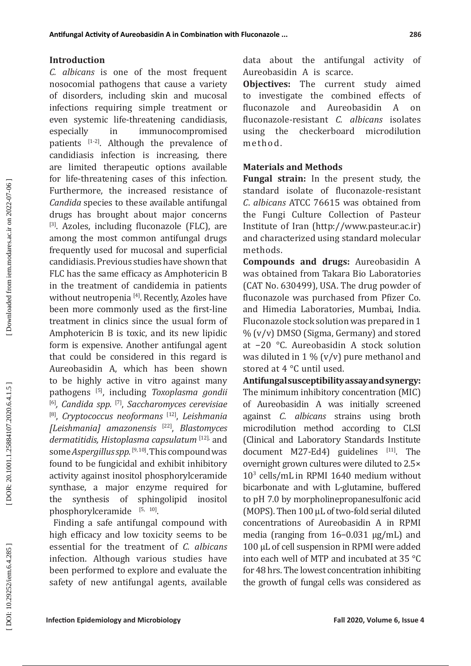### **Introduction**

*C. albicans* is one of the most frequent nosocomial pathogens that cause a variety of disorders, including skin and mucosal infections requiring simple treatment or even systemic life-threatening candidiasis, especially in immunocompromised patients  $[1-2]$ . Although the prevalence of candidiasis infection is increasing, there are limited therapeutic options available for life-threatening cases of this infection. Furthermore, the increased resistance of *Candida* species to these available antifungal drugs has brought about major concerns [3]. Azoles, including fluconazole (FLC), are among the most common antifungal drugs frequently used for mucosal and superficial candidiasis. Previous studies have shown that FLC has the same efficacy as Amphotericin B in the treatment of candidemia in patients without neutropenia<sup>[4]</sup>. Recently, Azoles have been more commonly used as the first-line treatment in clinics since the usual form of Amphotericin B is toxic, and its new lipidic form is expensive. Another antifungal agent that could be considered in this regard is Aureobasidin A, which has been shown to be highly active in vitro against many pathogens [5], including *Toxoplasma gondii*  [6]*, Candida spp.* [7], *Saccharomyces cerevisiae* [8], *Cryptococcus neoformans* [12], *Leishmania [Leishmania] amazonensis* [22], *Blastomyces dermatitidis, Histoplasma capsulatum* [12], and some *Aspergillus spp.* [9,10]. This compound was found to be fungicidal and exhibit inhibitory activity against inositol phosphorylceramide synthase, a major enzyme required for<br>the synthesis of sphingolipid inositol sphingolipid inositol  $phosphorylceramide$ <sup>[5, 10]</sup>.

 Finding a safe antifungal compound with high efficacy and low toxicity seems to be essential for the treatment of *C. albicans*  infection. Although various studies have been performed to explore and evaluate the safety of new antifungal agents, available data about the antifungal activity of Aureobasidin A is scarce.

**Obiectives:** The current study aimed to investigate the combined effects of fluconazole and Aureobasidin A on fluconazole-resistant *C. albicans* isolates using the checkerboard microdilution method.

### **Materials and Methods**

**Fungal strain:** In the present study, the standard isolate of fluconazole-resistant *C*. *albicans* ATCC 76615 was obtained from the Fungi Culture Collection of Pasteur Institute of Iran (http://www.pasteur.ac.ir) and characterized using standard molecular methods.

**Compounds and drugs:** Aureobasidin A was obtained from Takara Bio Laboratories (CAT No. 630499), USA. The drug powder of fluconazole was purchased from Pfizer Co. and Himedia Laboratories, Mumbai, India. Fluconazole stock solution was prepared in 1 % (v/v) DMSO (Sigma, Germany) and stored at −20 °C. Aureobasidin A stock solution was diluted in 1 % (v/v) pure methanol and stored at 4 °C until used.

**Antifungal susceptibility assay and synergy:**  The minimum inhibitory concentration (MIC) of Aureobasidin A was initially screened against *C*. *albicans* strains using broth microdilution method according to CLSI (Clinical and Laboratory Standards Institute document M27-Ed4) guidelines  $[11]$ . The overnight grown cultures were diluted to 2.5× 10 3 cells/mL in RPMI 1640 medium without bicarbonate and with L-glutamine, buffered to pH 7.0 by morpholinepropanesulfonic acid (MOPS). Then 100 μL of two-fold serial diluted concentrations of Aureobasidin A in RPMI media (ranging from 16−0.031 μg/mL) and 100 μL of cell suspension in RPMI were added into each well of MTP and incubated at 35 °C for 48 hrs. The lowest concentration inhibiting the growth of fungal cells was considered as

DOI: 10.29252/iem.6.4.285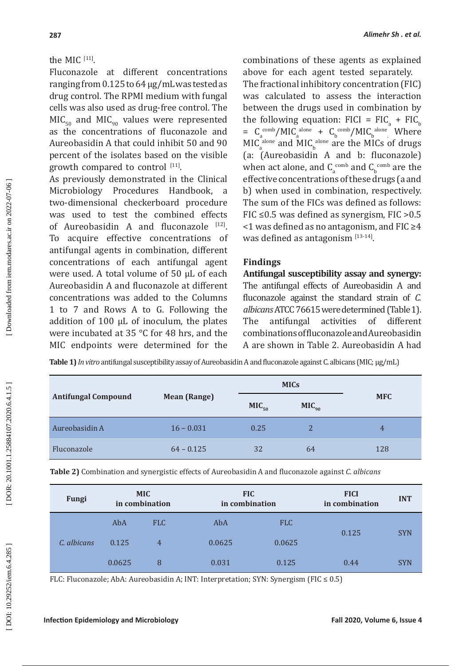# the MIC [11].

Fluconazole at different concentrations ranging from 0.125 to 64 μg/mLwas tested as drug control. The RPMI medium with fungal cells was also used as drug-free control. The  $MIC<sub>50</sub>$  and  $MIC<sub>90</sub>$  values were represented as the concentrations of fluconazole and Aureobasidin A that could inhibit 50 and 90 percent of the isolates based on the visible growth compared to control  $[11]$ .

As previously demonstrated in the Clinical Microbiology Procedures Handbook, two-dimensional checkerboard procedure was used to test the combined effects of Aureobasidin A and fluconazole [12]. To acquire effective concentrations of antifungal agents in combination, different concentrations of each antifungal agent were used. A total volume of 50 μL of each Aureobasidin A and fluconazole at different concentrations was added to the Columns 1 to 7 and Rows A to G. Following the addition of 100 μL of inoculum, the plates were incubated at 35 °C for 48 hrs, and the MIC endpoints were determined for the

combinations of these agents as explained above for each agent tested separately.

The fractional inhibitory concentration (FIC) was calculated to assess the interaction between the drugs used in combination by the following equation:  $FIG = FIC_a + FIC$  $a \sim a$  b  $= C_a^{\text{comb}}/MIC_a^{\text{ alone}} + C_b^{\text{comb}}/MIC_b^{\text{ alone}}$  Where  $MICa<sub>a</sub>$ <sup>alone</sup> and MIC<sub>b</sub><sup>alone</sup> are the MICs of drugs a b (a: (Aureobasidin A and b: fluconazole) when act alone, and  $C_{a}^{comb}$  and  $C_{b}^{comb}$  are the effective concentrations of these drugs (a and b) when used in combination, respectively. The sum of the FICs was defined as follows: FIC  $\leq$ 0.5 was defined as synergism, FIC  $>$ 0.5 <1 was defined as no antagonism, and FIC ≥4 was defined as antagonism  $[13-14]$ .

# **Findings**

**Antifungal susceptibility assay and synergy:** The antifungal effects of Aureobasidin A and fluconazole against the standard strain of *C. albicans* ATCC 76615 were determined (Table 1). The antifungal activities of different combinations of fluconazole and Aureobasidin A are shown in Table 2. Aureobasidin A had

**Table 1)** *In vitro* antifungal susceptibility assay of Aureobasidin A and fluconazole against C. albicans (MIC; μg/mL)

|                            |                     | <b>MICs</b>       |                   |            |  |
|----------------------------|---------------------|-------------------|-------------------|------------|--|
| <b>Antifungal Compound</b> | <b>Mean (Range)</b> | MIC <sub>50</sub> | MIC <sub>90</sub> | <b>MFC</b> |  |
| Aureobasidin A             | $16 - 0.031$        | 0.25              | $\overline{2}$    | 4          |  |
| Fluconazole                | $64 - 0.125$        | 32                | 64                | 128        |  |

**Table 2)** Combination and synergistic effects of Aureobasidin A and fluconazole against *C. albicans* 

| Fungi       | <b>MIC</b><br>in combination |                | <b>FIC</b><br>in combination |            | <b>FICI</b><br>in combination | <b>INT</b> |
|-------------|------------------------------|----------------|------------------------------|------------|-------------------------------|------------|
| C. albicans | AbA                          | <b>FLC</b>     | AbA                          | <b>FLC</b> | 0.125                         | <b>SYN</b> |
|             | 0.125                        | $\overline{4}$ | 0.0625                       | 0.0625     |                               |            |
|             | 0.0625                       | 8              | 0.031                        | 0.125      | 0.44                          | <b>SYN</b> |

FLC: Fluconazole; AbA: Aureobasidin A; INT: Interpretation; SYN: Synergism (FIC  $\leq 0.5$ )

DOI: 10.29252/iem.6.4.285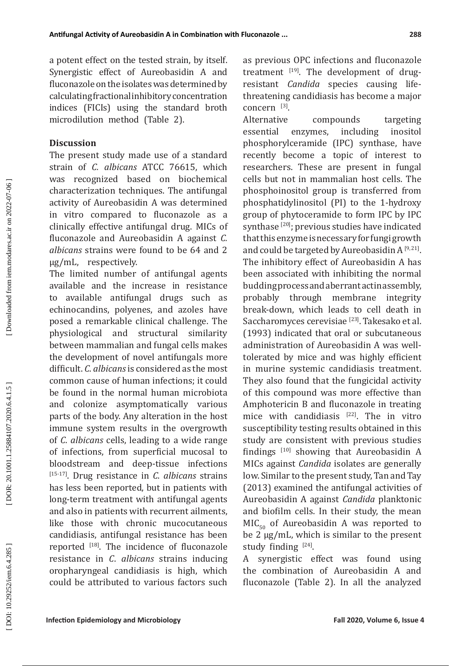a potent effect on the tested strain, by itself. Synergistic effect of Aureobasidin A and fluconazole on the isolates was determined by calculating fractional inhibitory concentration indices (FICIs) using the standard broth microdilution method (Table 2).

### **Discussion**

The present study made use of a standard strain of *C. albicans* ATCC 76615, which was recognized based on biochemical characterization techniques. The antifungal activity of Aureobasidin A was determined in vitro compared to fluconazole as a clinically effective antifungal drug. MICs of fluconazole and Aureobasidin A against *C. albicans* strains were found to be 64 and 2 μg/mL, respectively.

The limited number of antifungal agents available and the increase in resistance to available antifungal drugs such as echinocandins, polyenes, and azoles have posed a remarkable clinical challenge. The physiological and structural similarity between mammalian and fungal cells makes the development of novel antifungals more difficult. *C*. *albicans* is considered as the most common cause of human infections; it could be found in the normal human microbiota and colonize asymptomatically various parts of the body. Any alteration in the host immune system results in the overgrowth of *C*. *albicans* cells, leading to a wide range of infections, from superficial mucosal to bloodstream and deep-tissue infections [15-17]. Drug resistance in *C*. *albicans* strains has less been reported, but in patients with long-term treatment with antifungal agents and also in patients with recurrent ailments, like those with chronic mucocutaneous candidiasis, antifungal resistance has been reported [18]. The incidence of fluconazole resistance in *C*. *albicans* strains inducing oropharyngeal candidiasis is high, which could be attributed to various factors such

as previous OPC infections and fluconazole treatment  $[19]$ . The development of drugresistant *Candida* species causing lifethreatening candidiasis has become a major  $\alpha$  concern  $^{[3]}$ .

Alternative compounds targeting essential enzymes, including inositol phosphorylceramide (IPC) synthase, have recently become a topic of interest to researchers. These are present in fungal cells but not in mammalian host cells. The phosphoinositol group is transferred from phosphatidylinositol (PI) to the 1-hydroxy group of phytoceramide to form IPC by IPC synthase <a>[20]</a>; previous studies have indicated that this enzyme is necessary for fungi growth and could be targeted by Aureobasidin A  $[9, 21]$ . The inhibitory effect of Aureobasidin A has been associated with inhibiting the normal budding process and aberrant actin assembly, probably through membrane integrity break-down, which leads to cell death in Saccharomyces cerevisiae<sup>[23]</sup>. Takesako et al. (1993) indicated that oral or subcutaneous administration of Aureobasidin A was welltolerated by mice and was highly efficient in murine systemic candidiasis treatment. They also found that the fungicidal activity of this compound was more effective than Amphotericin B and fluconazole in treating mice with candidiasis [22]. The in vitro susceptibility testing results obtained in this study are consistent with previous studies findings [10] showing that Aureobasidin A MICs against *Candida* isolates are generally low. Similar to the present study, Tan and Tay (2013) examined the antifungal activities of Aureobasidin A against *Candida* planktonic and biofilm cells. In their study, the mean  $MIC<sub>50</sub>$  of Aureobasidin A was reported to be 2 µg/mL, which is similar to the present study finding  $[24]$ .

A synergistic effect was found using the combination of Aureobasidin A and fluconazole (Table 2). In all the analyzed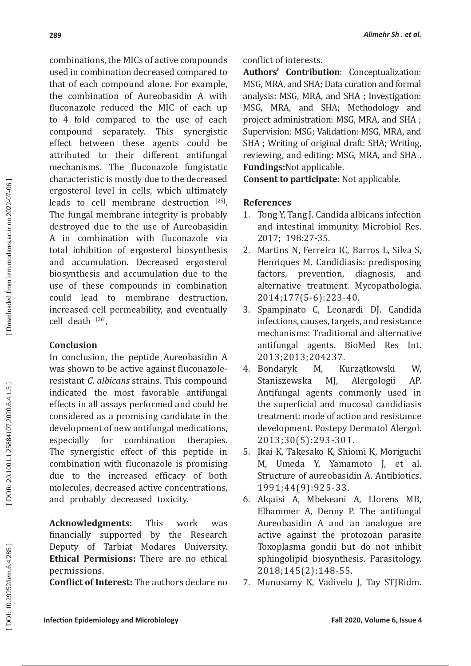combinations, the MICs of active compounds used in combination decreased compared to that of each compound alone. For example, the combination of Aureobasidin A with fluconazole reduced the MIC of each up to 4 fold compared to the use of each compound separately. This synergistic effect between these agents could be attributed to their different antifungal mechanisms. The fluconazole fungistatic characteristic is mostly due to the decreased ergosterol level in cells, which ultimately leads to cell membrane destruction [25]. The fungal membrane integrity is probably destroyed due to the use of Aureobasidin A in combination with fluconazole via total inhibition of ergosterol biosynthesis and accumulation. Decreased ergosterol biosynthesis and accumulation due to the use of these compounds in combination could lead to membrane destruction, increased cell permeability, and eventually cell death  $^{[26]}$ ,

# **Conclusion**

In conclusion, the peptide Aureobasidin A was shown to be active against fluconazoleresistant *C*. *albicans* strains. This compound indicated the most favorable antifungal effects in all assays performed and could be considered as a promising candidate in the development of new antifungal medications, especially for combination therapies. The synergistic effect of this peptide in combination with fluconazole is promising due to the increased efficacy of both molecules, decreased active concentrations, and probably decreased toxicity.

**Acknowledgments:** This work was financially supported by the Research Deputy of Tarbiat Modares University. **Ethical Permisions:** There are no ethical permissions.

**Conflict of Interest:** The authors declare no

**Authors' Contribution**: Conceptualization: MSG, MRA, and SHA; Data curation and formal analysis: MSG, MRA, and SHA ; Investigation: MSG, MRA, and SHA; Methodology and project administration: MSG, MRA, and SHA ; Supervision: MSG; Validation: MSG, MRA, and SHA ; Writing of original draft: SHA; Writing, reviewing, and editing: MSG, MRA, and SHA . **Fundings:**Not applicable.

**Consent to participate:** Not applicable.

### **References**

- 1. Tong Y, Tang J. Candida albicans infection and intestinal immunity. Microbiol Res. 2017; 198:27-35.
- 2. Martins N, Ferreira IC, Barros L, Silva S, Henriques M. Candidiasis: predisposing<br>factors, prevention, diagnosis, and prevention, diagnosis, and alternative treatment. Mycopathologia. 2014;177(5-6):223-40.
- 3. Spampinato C, Leonardi DJ. Candida infections, causes, targets, and resistance mechanisms: Traditional and alternative antifungal agents. BioMed Res Int.
- 2013;2013;204237.<br>4. Bondaryk M, K Kurzątkowski W,<br>MJ, Alergologii AP. Staniszewska MJ, Alergologii AP. Antifungal agents commonly used in the superficial and mucosal candidiasis treatment: mode of action and resistance development. Postepy Dermatol Alergol. 2013;30(5):293-301.
- 5. Ikai K, Takesako K, Shiomi K, Moriguchi M, Umeda Y, Yamamoto J, et al. Structure of aureobasidin A. Antibiotics. 1991;44(9):925-33.
- 6. Alqaisi A, Mbekeani A, Llorens MB, Elhammer A, Denny P. The antifungal Aureobasidin A and an analogue are active against the protozoan parasite Toxoplasma gondii but do not inhibit sphingolipid biosynthesis. Parasitology. 2018;145(2):148-55.
- 7. Munusamy K, Vadivelu J, Tay STJRidm.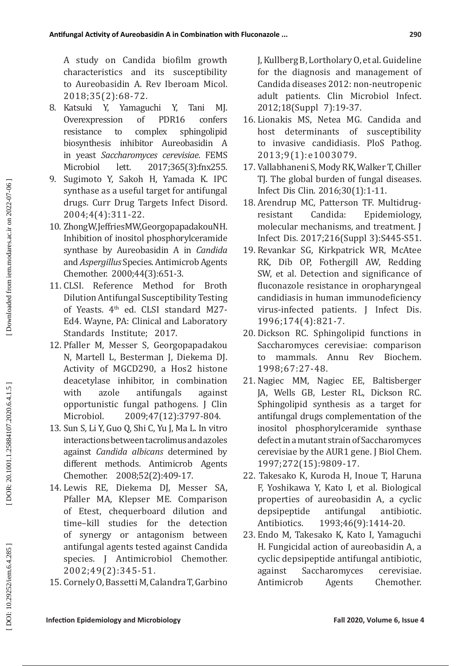A study on Candida biofilm growth characteristics and its susceptibility to Aureobasidin A. Rev Iberoam Micol. 2018;35(2):68-72.

- 8. Katsuki Y, Yamaguchi Y, Tani MJ.<br>Overexpression of PDR16 confers Overexpression of resistance to complex sphingolipid biosynthesis inhibitor Aureobasidin A in yeast *Saccharomyces cerevisiae*. FEMS Microbiol lett. 2017;365(3):fnx255.
- 9. Sugimoto Y, Sakoh H, Yamada K. IPC synthase as a useful target for antifungal drugs. Curr Drug Targets Infect Disord. 2004;4(4):311-22.
- 10. Zhong W, Jeffries MW, Georgopapadakou NH. Inhibition of inositol phosphorylceramide synthase by Aureobasidin A in *Candida* and *Aspergillus* Species. Antimicrob Agents Chemother. 2000;44(3):651-3.
- 11. CLSI. Reference Method for Broth Dilution Antifungal Susceptibility Testing of Yeasts. 4<sup>th</sup> ed. CLSI standard M27-Ed4. Wayne, PA: Clinical and Laboratory Standards Institute; 2017.
- 12. Pfaller M, Messer S, Georgopapadakou N, Martell L, Besterman J, Diekema DJ. Activity of MGCD290, a Hos2 histone deacetylase inhibitor, in combination with azole antifungals against opportunistic fungal pathogens. J Clin Microbiol. 2009;47(12):3797-804.
- 13. Sun S, Li Y, Guo Q, Shi C, Yu J, Ma L. In vitro interactions between tacrolimus and azoles against *Candida albicans* determined by different methods. Antimicrob Agents Chemother. 2008;52(2):409-17.
- 14. Lewis RE, Diekema DJ, Messer SA, Pfaller MA, Klepser ME. Comparison of Etest, chequerboard dilution and time–kill studies for the detection of synergy or antagonism between antifungal agents tested against Candida species. J Antimicrobiol Chemother. 2002;49(2):345-51.
- 15. Cornely O, Bassetti M, Calandra T, Garbino

J, Kullberg B, Lortholary O, et al. Guideline for the diagnosis and management of Candida diseases 2012: non-neutropenic adult patients. Clin Microbiol Infect. 2012;18(Suppl 7):19-37.

- 16. Lionakis MS, Netea MG. Candida and host determinants of susceptibility to invasive candidiasis. PloS Pathog. 2013;9(1):e1003079.
- 17. Vallabhaneni S, Mody RK, Walker T, Chiller TJ. The global burden of fungal diseases. Infect Dis Clin. 2016;30(1):1-11.
- 18. Arendrup MC, Patterson TF. Multidrug-<br>resistant Candida: Epidemiology. resistant Candida: Epidemiology, molecular mechanisms, and treatment. J Infect Dis. 2017;216(Suppl 3):S445-S51.
- 19. Revankar SG, Kirkpatrick WR, McAtee RK, Dib OP, Fothergill AW, Redding SW, et al. Detection and significance of fluconazole resistance in oropharyngeal candidiasis in human immunodeficiency virus-infected patients. J Infect Dis. 1996;174(4):821-7.
- 20. Dickson RC. Sphingolipid functions in Saccharomyces cerevisiae: comparison to mammals. Annu Rev Biochem. 1998;67:27-48.
- 21. Nagiec MM, Nagiec EE, Baltisberger JA, Wells GB, Lester RL, Dickson RC. Sphingolipid synthesis as a target for antifungal drugs complementation of the inositol phosphorylceramide synthase defect in a mutant strain of Saccharomyces cerevisiae by the AUR1 gene. J Biol Chem. 1997;272(15):9809-17.
- 22. Takesako K, Kuroda H, Inoue T, Haruna F, Yoshikawa Y, Kato I, et al. Biological properties of aureobasidin A, a cyclic depsipeptide antifungal antibiotic.<br>Antibiotics. 1993;46(9):1414-20. Antibiotics. 1993;46(9):1414-20.
- 23. Endo M, Takesako K, Kato I, Yamaguchi H. Fungicidal action of aureobasidin A, a cyclic depsipeptide antifungal antibiotic, against Saccharomyces cerevisiae. Antimicrob Agents Chemother.